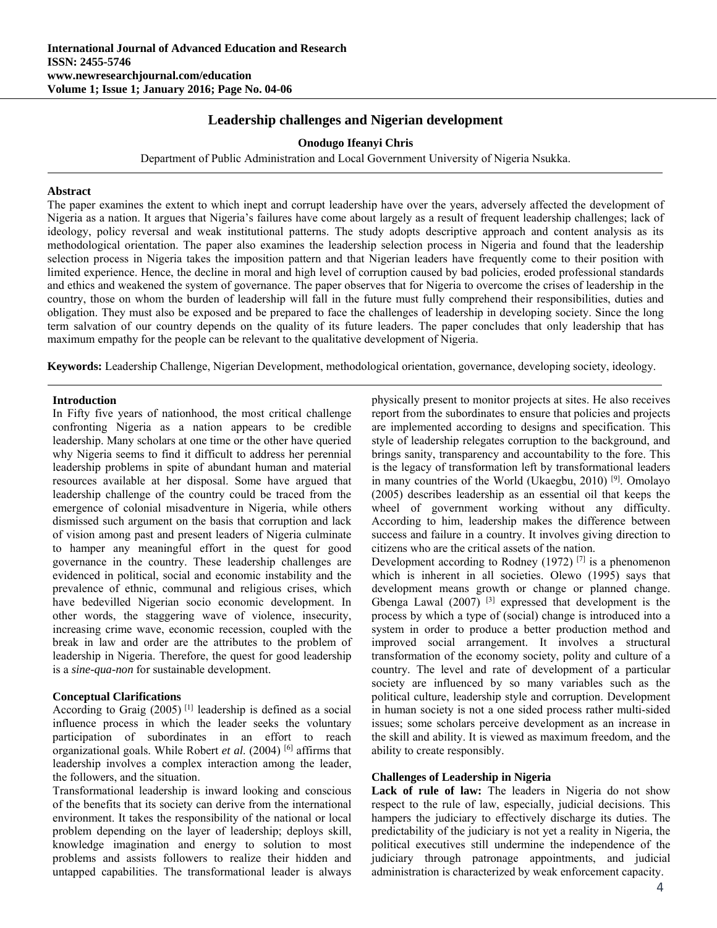# **Leadership challenges and Nigerian development**

### **Onodugo Ifeanyi Chris**

Department of Public Administration and Local Government University of Nigeria Nsukka.

#### **Abstract**

The paper examines the extent to which inept and corrupt leadership have over the years, adversely affected the development of Nigeria as a nation. It argues that Nigeria's failures have come about largely as a result of frequent leadership challenges; lack of ideology, policy reversal and weak institutional patterns. The study adopts descriptive approach and content analysis as its methodological orientation. The paper also examines the leadership selection process in Nigeria and found that the leadership selection process in Nigeria takes the imposition pattern and that Nigerian leaders have frequently come to their position with limited experience. Hence, the decline in moral and high level of corruption caused by bad policies, eroded professional standards and ethics and weakened the system of governance. The paper observes that for Nigeria to overcome the crises of leadership in the country, those on whom the burden of leadership will fall in the future must fully comprehend their responsibilities, duties and obligation. They must also be exposed and be prepared to face the challenges of leadership in developing society. Since the long term salvation of our country depends on the quality of its future leaders. The paper concludes that only leadership that has maximum empathy for the people can be relevant to the qualitative development of Nigeria.

**Keywords:** Leadership Challenge, Nigerian Development, methodological orientation, governance, developing society, ideology.

#### **Introduction**

In Fifty five years of nationhood, the most critical challenge confronting Nigeria as a nation appears to be credible leadership. Many scholars at one time or the other have queried why Nigeria seems to find it difficult to address her perennial leadership problems in spite of abundant human and material resources available at her disposal. Some have argued that leadership challenge of the country could be traced from the emergence of colonial misadventure in Nigeria, while others dismissed such argument on the basis that corruption and lack of vision among past and present leaders of Nigeria culminate to hamper any meaningful effort in the quest for good governance in the country. These leadership challenges are evidenced in political, social and economic instability and the prevalence of ethnic, communal and religious crises, which have bedevilled Nigerian socio economic development. In other words, the staggering wave of violence, insecurity, increasing crime wave, economic recession, coupled with the break in law and order are the attributes to the problem of leadership in Nigeria. Therefore, the quest for good leadership is a *sine-qua-non* for sustainable development.

#### **Conceptual Clarifications**

According to Graig  $(2005)$ <sup>[1]</sup> leadership is defined as a social influence process in which the leader seeks the voluntary participation of subordinates in an effort to reach organizational goals. While Robert *et al*. (2004) [6] affirms that leadership involves a complex interaction among the leader, the followers, and the situation.

Transformational leadership is inward looking and conscious of the benefits that its society can derive from the international environment. It takes the responsibility of the national or local problem depending on the layer of leadership; deploys skill, knowledge imagination and energy to solution to most problems and assists followers to realize their hidden and untapped capabilities. The transformational leader is always

physically present to monitor projects at sites. He also receives report from the subordinates to ensure that policies and projects are implemented according to designs and specification. This style of leadership relegates corruption to the background, and brings sanity, transparency and accountability to the fore. This is the legacy of transformation left by transformational leaders in many countries of the World (Ukaegbu, 2010) [9]. Omolayo (2005) describes leadership as an essential oil that keeps the wheel of government working without any difficulty. According to him, leadership makes the difference between success and failure in a country. It involves giving direction to citizens who are the critical assets of the nation.

Development according to Rodney (1972)  $[7]$  is a phenomenon which is inherent in all societies. Olewo (1995) says that development means growth or change or planned change. Gbenga Lawal  $(2007)$ <sup>[3]</sup> expressed that development is the process by which a type of (social) change is introduced into a system in order to produce a better production method and improved social arrangement. It involves a structural transformation of the economy society, polity and culture of a country. The level and rate of development of a particular society are influenced by so many variables such as the political culture, leadership style and corruption. Development in human society is not a one sided process rather multi-sided issues; some scholars perceive development as an increase in the skill and ability. It is viewed as maximum freedom, and the ability to create responsibly.

#### **Challenges of Leadership in Nigeria**

**Lack of rule of law:** The leaders in Nigeria do not show respect to the rule of law, especially, judicial decisions. This hampers the judiciary to effectively discharge its duties. The predictability of the judiciary is not yet a reality in Nigeria, the political executives still undermine the independence of the judiciary through patronage appointments, and judicial administration is characterized by weak enforcement capacity.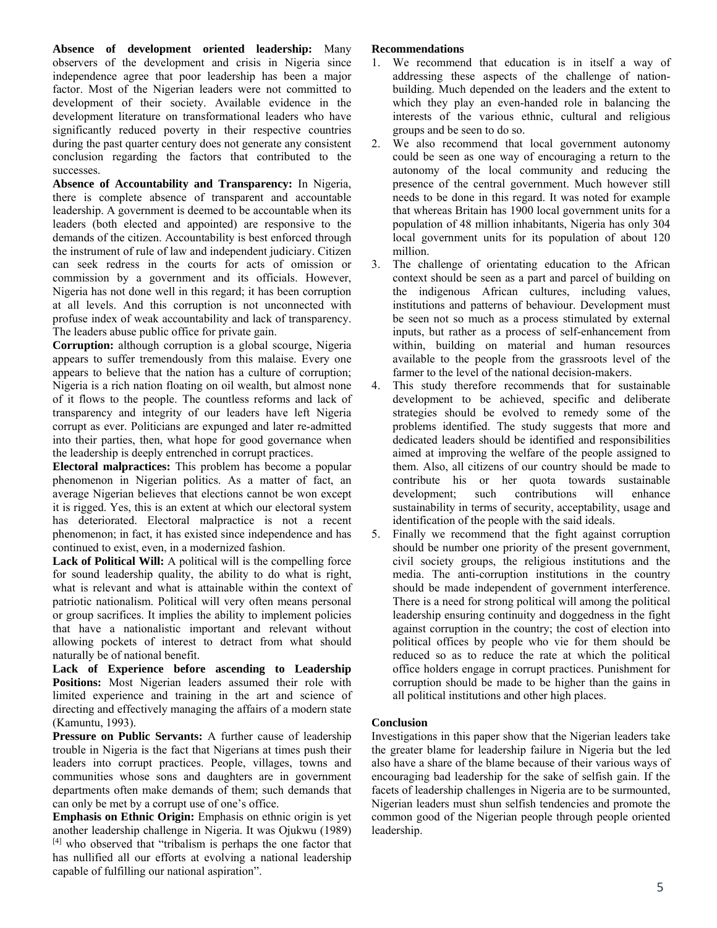**Absence of development oriented leadership:** Many observers of the development and crisis in Nigeria since independence agree that poor leadership has been a major factor. Most of the Nigerian leaders were not committed to development of their society. Available evidence in the development literature on transformational leaders who have significantly reduced poverty in their respective countries during the past quarter century does not generate any consistent conclusion regarding the factors that contributed to the successes.

**Absence of Accountability and Transparency:** In Nigeria, there is complete absence of transparent and accountable leadership. A government is deemed to be accountable when its leaders (both elected and appointed) are responsive to the demands of the citizen. Accountability is best enforced through the instrument of rule of law and independent judiciary. Citizen can seek redress in the courts for acts of omission or commission by a government and its officials. However, Nigeria has not done well in this regard; it has been corruption at all levels. And this corruption is not unconnected with profuse index of weak accountability and lack of transparency. The leaders abuse public office for private gain.

**Corruption:** although corruption is a global scourge, Nigeria appears to suffer tremendously from this malaise. Every one appears to believe that the nation has a culture of corruption; Nigeria is a rich nation floating on oil wealth, but almost none of it flows to the people. The countless reforms and lack of transparency and integrity of our leaders have left Nigeria corrupt as ever. Politicians are expunged and later re-admitted into their parties, then, what hope for good governance when the leadership is deeply entrenched in corrupt practices.

**Electoral malpractices:** This problem has become a popular phenomenon in Nigerian politics. As a matter of fact, an average Nigerian believes that elections cannot be won except it is rigged. Yes, this is an extent at which our electoral system has deteriorated. Electoral malpractice is not a recent phenomenon; in fact, it has existed since independence and has continued to exist, even, in a modernized fashion.

**Lack of Political Will:** A political will is the compelling force for sound leadership quality, the ability to do what is right, what is relevant and what is attainable within the context of patriotic nationalism. Political will very often means personal or group sacrifices. It implies the ability to implement policies that have a nationalistic important and relevant without allowing pockets of interest to detract from what should naturally be of national benefit.

**Lack of Experience before ascending to Leadership Positions:** Most Nigerian leaders assumed their role with limited experience and training in the art and science of directing and effectively managing the affairs of a modern state (Kamuntu, 1993).

**Pressure on Public Servants:** A further cause of leadership trouble in Nigeria is the fact that Nigerians at times push their leaders into corrupt practices. People, villages, towns and communities whose sons and daughters are in government departments often make demands of them; such demands that can only be met by a corrupt use of one's office.

**Emphasis on Ethnic Origin:** Emphasis on ethnic origin is yet another leadership challenge in Nigeria. It was Ojukwu (1989) [4] who observed that "tribalism is perhaps the one factor that has nullified all our efforts at evolving a national leadership capable of fulfilling our national aspiration".

## **Recommendations**

- 1. We recommend that education is in itself a way of addressing these aspects of the challenge of nationbuilding. Much depended on the leaders and the extent to which they play an even-handed role in balancing the interests of the various ethnic, cultural and religious groups and be seen to do so.
- 2. We also recommend that local government autonomy could be seen as one way of encouraging a return to the autonomy of the local community and reducing the presence of the central government. Much however still needs to be done in this regard. It was noted for example that whereas Britain has 1900 local government units for a population of 48 million inhabitants, Nigeria has only 304 local government units for its population of about 120 million.
- 3. The challenge of orientating education to the African context should be seen as a part and parcel of building on the indigenous African cultures, including values, institutions and patterns of behaviour. Development must be seen not so much as a process stimulated by external inputs, but rather as a process of self-enhancement from within, building on material and human resources available to the people from the grassroots level of the farmer to the level of the national decision-makers.
- 4. This study therefore recommends that for sustainable development to be achieved, specific and deliberate strategies should be evolved to remedy some of the problems identified. The study suggests that more and dedicated leaders should be identified and responsibilities aimed at improving the welfare of the people assigned to them. Also, all citizens of our country should be made to contribute his or her quota towards sustainable development; such contributions will enhance sustainability in terms of security, acceptability, usage and identification of the people with the said ideals.
- 5. Finally we recommend that the fight against corruption should be number one priority of the present government, civil society groups, the religious institutions and the media. The anti-corruption institutions in the country should be made independent of government interference. There is a need for strong political will among the political leadership ensuring continuity and doggedness in the fight against corruption in the country; the cost of election into political offices by people who vie for them should be reduced so as to reduce the rate at which the political office holders engage in corrupt practices. Punishment for corruption should be made to be higher than the gains in all political institutions and other high places.

# **Conclusion**

Investigations in this paper show that the Nigerian leaders take the greater blame for leadership failure in Nigeria but the led also have a share of the blame because of their various ways of encouraging bad leadership for the sake of selfish gain. If the facets of leadership challenges in Nigeria are to be surmounted, Nigerian leaders must shun selfish tendencies and promote the common good of the Nigerian people through people oriented leadership.